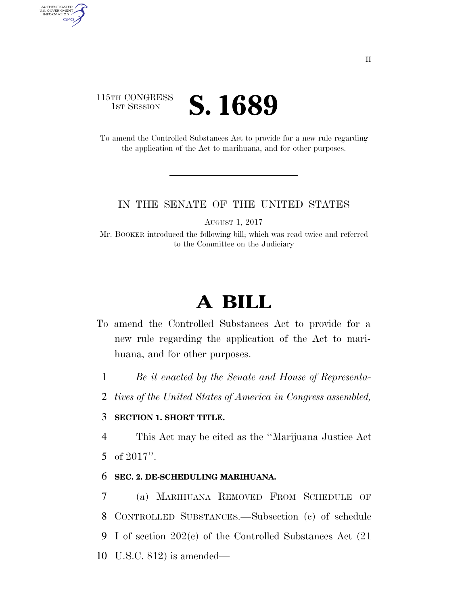## 115TH CONGRESS **IST SESSION S. 1689**

AUTHENTICATED<br>U.S. GOVERNMENT<br>INFORMATION GPO

> To amend the Controlled Substances Act to provide for a new rule regarding the application of the Act to marihuana, and for other purposes.

### IN THE SENATE OF THE UNITED STATES

AUGUST 1, 2017

Mr. BOOKER introduced the following bill; which was read twice and referred to the Committee on the Judiciary

# **A BILL**

- To amend the Controlled Substances Act to provide for a new rule regarding the application of the Act to marihuana, and for other purposes.
	- 1 *Be it enacted by the Senate and House of Representa-*
	- 2 *tives of the United States of America in Congress assembled,*

### 3 **SECTION 1. SHORT TITLE.**

4 This Act may be cited as the ''Marijuana Justice Act 5 of 2017''.

#### 6 **SEC. 2. DE-SCHEDULING MARIHUANA.**

 (a) MARIHUANA REMOVED FROM SCHEDULE OF CONTROLLED SUBSTANCES.—Subsection (c) of schedule I of section 202(c) of the Controlled Substances Act (21 U.S.C. 812) is amended—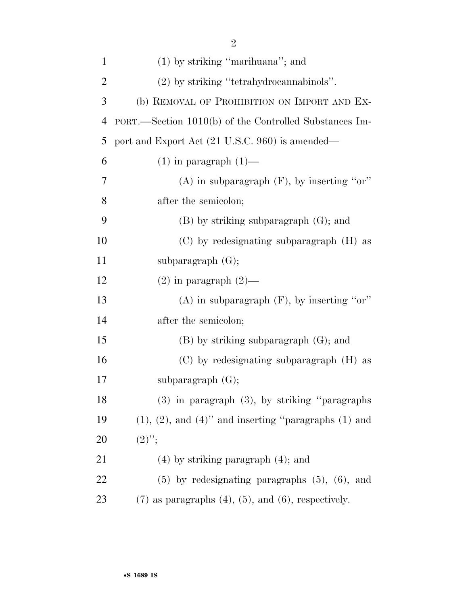| $\mathbf{1}$   | $(1)$ by striking "marihuana"; and                            |
|----------------|---------------------------------------------------------------|
| $\overline{2}$ | (2) by striking "tetrahydrocannabinols".                      |
| 3              | (b) REMOVAL OF PROHIBITION ON IMPORT AND EX-                  |
| $\overline{4}$ | PORT.—Section 1010(b) of the Controlled Substances Im-        |
| 5              | port and Export Act (21 U.S.C. 960) is amended—               |
| 6              | $(1)$ in paragraph $(1)$ —                                    |
| 7              | $(A)$ in subparagraph $(F)$ , by inserting "or"               |
| 8              | after the semicolon;                                          |
| 9              | $(B)$ by striking subparagraph $(G)$ ; and                    |
| 10             | (C) by redesignating subparagraph (H) as                      |
| 11             | subparagraph $(G)$ ;                                          |
| 12             | $(2)$ in paragraph $(2)$ —                                    |
| 13             | $(A)$ in subparagraph $(F)$ , by inserting "or"               |
| 14             | after the semicolon;                                          |
| 15             | $(B)$ by striking subparagraph $(G)$ ; and                    |
| 16             | $(C)$ by redesignating subparagraph $(H)$ as                  |
| 17             | subparagraph $(G);$                                           |
| 18             | (3) in paragraph (3), by striking "paragraphs                 |
| 19             | $(1), (2),$ and $(4)$ " and inserting "paragraphs $(1)$ and   |
| 20             | $(2)$ ";                                                      |
| 21             | $(4)$ by striking paragraph $(4)$ ; and                       |
| 22             | $(5)$ by redesignating paragraphs $(5)$ , $(6)$ , and         |
| 23             | $(7)$ as paragraphs $(4)$ , $(5)$ , and $(6)$ , respectively. |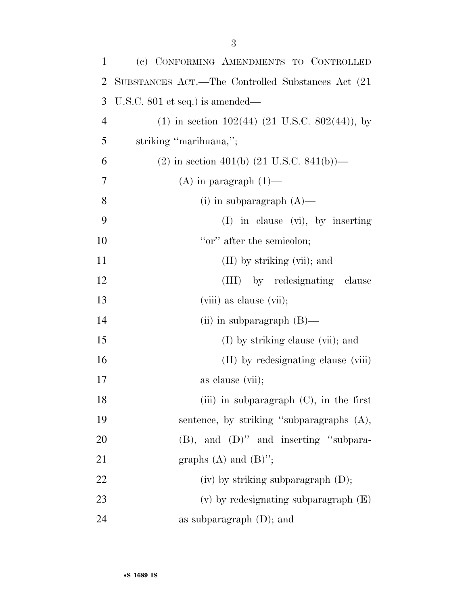| $\mathbf{1}$   | (c) CONFORMING AMENDMENTS TO CONTROLLED                 |
|----------------|---------------------------------------------------------|
| 2              | SUBSTANCES ACT.—The Controlled Substances Act (21)      |
| 3              | U.S.C. $801$ et seq.) is amended—                       |
| $\overline{4}$ | $(1)$ in section 102(44) (21 U.S.C. 802(44)), by        |
| 5              | striking "marihuana,";                                  |
| 6              | $(2)$ in section 401(b) $(21 \text{ U.S.C. } 841(b))$ — |
| 7              | $(A)$ in paragraph $(1)$ —                              |
| 8              | $(i)$ in subparagraph $(A)$ —                           |
| 9              | $(I)$ in clause $(vi)$ , by inserting                   |
| 10             | "or" after the semicolon;                               |
| 11             | $(II)$ by striking $(vii)$ ; and                        |
| 12             | (III) by redesignating clause                           |
| 13             | (viii) as clause (vii);                                 |
| 14             | (ii) in subparagraph $(B)$ —                            |
| 15             | (I) by striking clause (vii); and                       |
| 16             | (II) by redesignating clause (viii)                     |
| 17             | as clause (vii);                                        |
| 18             | (iii) in subparagraph $(C)$ , in the first              |
| 19             | sentence, by striking "subparagraphs (A),               |
| 20             | $(B)$ , and $(D)$ " and inserting "subpara-             |
| 21             | graphs $(A)$ and $(B)$ ";                               |
| 22             | $(iv)$ by striking subparagraph $(D)$ ;                 |
| 23             | $(v)$ by redesignating subparagraph $(E)$               |
| 24             | as subparagraph $(D)$ ; and                             |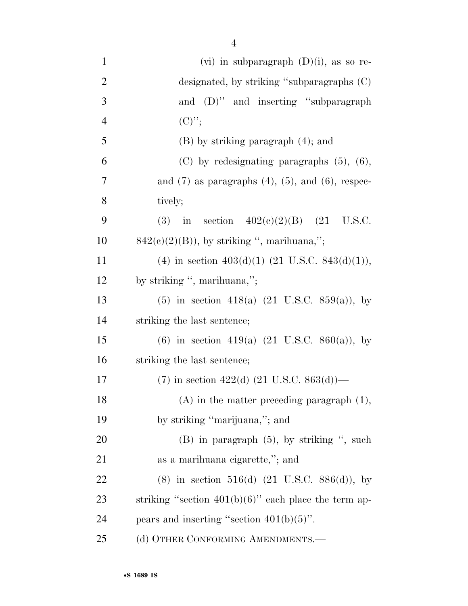| $\mathbf{1}$   | (vi) in subparagraph $(D)(i)$ , as so re-                   |
|----------------|-------------------------------------------------------------|
| $\overline{2}$ | designated, by striking "subparagraphs $(C)$                |
| 3              | and (D)" and inserting "subparagraph                        |
| $\overline{4}$ | $(C)$ ";                                                    |
| 5              | $(B)$ by striking paragraph $(4)$ ; and                     |
| 6              | $(C)$ by redesignating paragraphs $(5)$ , $(6)$ ,           |
| 7              | and $(7)$ as paragraphs $(4)$ , $(5)$ , and $(6)$ , respec- |
| 8              | tively;                                                     |
| 9              | in section $402(e)(2)(B)$ (21 U.S.C.<br>(3)                 |
| 10             | $842(e)(2)(B)$ , by striking ", marihuana,";                |
| 11             | (4) in section $403(d)(1)$ (21 U.S.C. 843(d)(1)),           |
| 12             | by striking ", marihuana,";                                 |
| 13             | $(5)$ in section 418(a) $(21 \text{ U.S.C. } 859(a))$ , by  |
| 14             | striking the last sentence;                                 |
| 15             | (6) in section 419(a) $(21 \text{ U.S.C. } 860(a))$ , by    |
| 16             | striking the last sentence;                                 |
| 17             | $(7)$ in section 422(d) (21 U.S.C. 863(d))—                 |
| 18             | $(A)$ in the matter preceding paragraph $(1)$ ,             |
| 19             | by striking "marijuana,"; and                               |
| 20             | $(B)$ in paragraph $(5)$ , by striking ", such              |
| 21             | as a marihuana eigarette,"; and                             |
| 22             | $(8)$ in section 516(d) $(21 \text{ U.S.C. } 886(d))$ , by  |
| 23             | striking "section $401(b)(6)$ " each place the term ap-     |
| 24             | pears and inserting "section $401(b)(5)$ ".                 |
| 25             | (d) OTHER CONFORMING AMENDMENTS.-                           |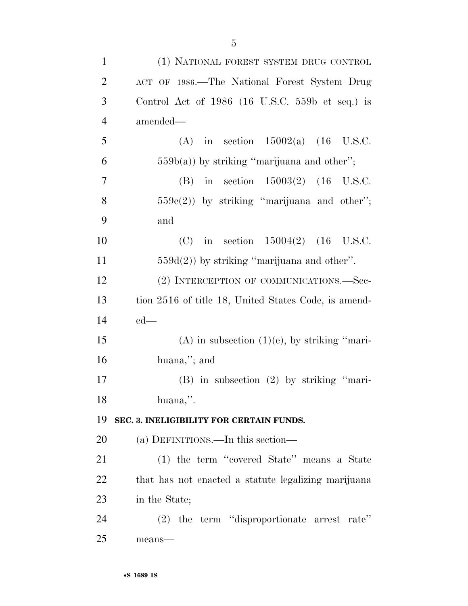| $\mathbf{1}$   | (1) NATIONAL FOREST SYSTEM DRUG CONTROL              |
|----------------|------------------------------------------------------|
| $\overline{2}$ | ACT OF 1986.—The National Forest System Drug         |
| 3              | Control Act of $1986$ (16 U.S.C. 559b et seq.) is    |
| $\overline{4}$ | amended—                                             |
| 5              | (A) in section $15002(a)$ (16 U.S.C.                 |
| 6              | $559b(a)$ ) by striking "marijuana and other";       |
| $\overline{7}$ | (B) in section $15003(2)$ (16 U.S.C.                 |
| 8              | $559e(2)$ ) by striking "marijuana and other";       |
| 9              | and                                                  |
| 10             | (C) in section $15004(2)$ (16 U.S.C.                 |
| 11             | $559d(2)$ ) by striking "marijuana and other".       |
| 12             | (2) INTERCEPTION OF COMMUNICATIONS.—Sec-             |
| 13             | tion 2516 of title 18, United States Code, is amend- |
| 14             | $ed$ —                                               |
| 15             | $(A)$ in subsection $(1)(e)$ , by striking "mari-    |
| 16             | huana,"; and                                         |
| 17             | (B) in subsection (2) by striking "mari-             |
| 18             | huana,".                                             |
| 19             | SEC. 3. INELIGIBILITY FOR CERTAIN FUNDS.             |
| 20             | (a) DEFINITIONS.—In this section—                    |
| 21             | (1) the term "covered State" means a State           |
| 22             | that has not enacted a statute legalizing marijuana  |
| 23             | in the State;                                        |
| 24             | (2) the term "disproportionate arrest rate"          |
| 25             | means-                                               |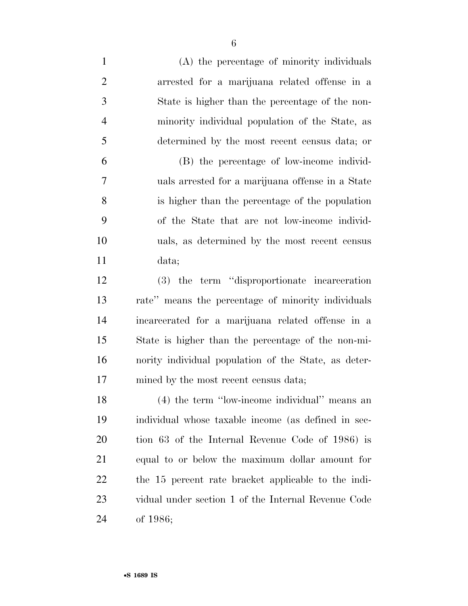(A) the percentage of minority individuals arrested for a marijuana related offense in a State is higher than the percentage of the non- minority individual population of the State, as determined by the most recent census data; or (B) the percentage of low-income individ- uals arrested for a marijuana offense in a State is higher than the percentage of the population of the State that are not low-income individ- uals, as determined by the most recent census data; (3) the term ''disproportionate incarceration rate'' means the percentage of minority individuals incarcerated for a marijuana related offense in a State is higher than the percentage of the non-mi- nority individual population of the State, as deter-17 mined by the most recent census data; (4) the term ''low-income individual'' means an individual whose taxable income (as defined in sec- tion 63 of the Internal Revenue Code of 1986) is equal to or below the maximum dollar amount for the 15 percent rate bracket applicable to the indi- vidual under section 1 of the Internal Revenue Code of 1986;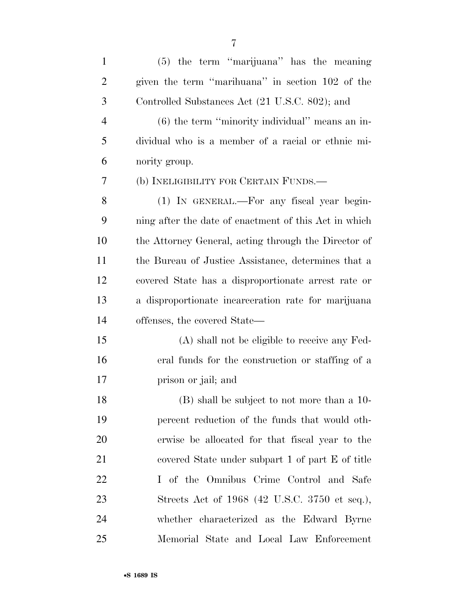| $\mathbf{1}$   | (5) the term "marijuana" has the meaning              |
|----------------|-------------------------------------------------------|
| $\overline{2}$ | given the term "marihuana" in section 102 of the      |
| 3              | Controlled Substances Act (21 U.S.C. 802); and        |
| $\overline{4}$ | $(6)$ the term "minority individual" means an in-     |
| 5              | dividual who is a member of a racial or ethnic mi-    |
| 6              | nority group.                                         |
| 7              | (b) INELIGIBILITY FOR CERTAIN FUNDS.—                 |
| 8              | (1) IN GENERAL.—For any fiscal year begin-            |
| 9              | ning after the date of enactment of this Act in which |
| 10             | the Attorney General, acting through the Director of  |
| 11             | the Bureau of Justice Assistance, determines that a   |
| 12             | covered State has a disproportionate arrest rate or   |
| 13             | a disproportionate incarceration rate for marijuana   |
| 14             | offenses, the covered State—                          |
| 15             | (A) shall not be eligible to receive any Fed-         |
| 16             | eral funds for the construction or staffing of a      |
| 17             | prison or jail; and                                   |
| 18             | (B) shall be subject to not more than a 10-           |
| 19             | percent reduction of the funds that would oth-        |
| <b>20</b>      | erwise be allocated for that fiscal year to the       |
| 21             | covered State under subpart 1 of part E of title      |
| 22             | I of the Omnibus Crime Control and Safe               |
| 23             | Streets Act of 1968 (42 U.S.C. 3750 et seq.),         |
| 24             | whether characterized as the Edward Byrne             |
| 25             | Memorial State and Local Law Enforcement              |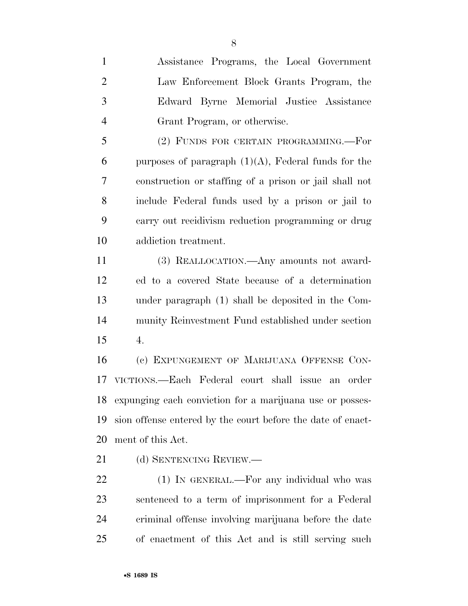Assistance Programs, the Local Government Law Enforcement Block Grants Program, the Edward Byrne Memorial Justice Assistance Grant Program, or otherwise.

 (2) FUNDS FOR CERTAIN PROGRAMMING.—For 6 purposes of paragraph  $(1)(A)$ , Federal funds for the construction or staffing of a prison or jail shall not include Federal funds used by a prison or jail to carry out recidivism reduction programming or drug addiction treatment.

 (3) REALLOCATION.—Any amounts not award- ed to a covered State because of a determination under paragraph (1) shall be deposited in the Com- munity Reinvestment Fund established under section 4.

 (c) EXPUNGEMENT OF MARIJUANA OFFENSE CON- VICTIONS.—Each Federal court shall issue an order expunging each conviction for a marijuana use or posses- sion offense entered by the court before the date of enact-ment of this Act.

21 (d) SENTENCING REVIEW.—

22 (1) IN GENERAL.—For any individual who was sentenced to a term of imprisonment for a Federal criminal offense involving marijuana before the date of enactment of this Act and is still serving such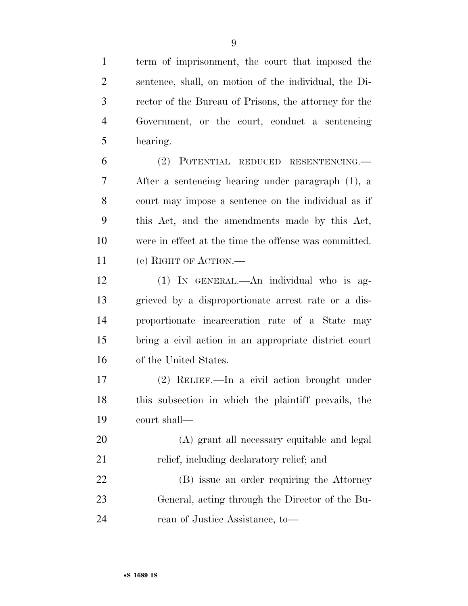term of imprisonment, the court that imposed the sentence, shall, on motion of the individual, the Di- rector of the Bureau of Prisons, the attorney for the Government, or the court, conduct a sentencing hearing.

 (2) POTENTIAL REDUCED RESENTENCING.— After a sentencing hearing under paragraph (1), a court may impose a sentence on the individual as if this Act, and the amendments made by this Act, were in effect at the time the offense was committed. (e) RIGHT OF ACTION.—

 (1) IN GENERAL.—An individual who is ag- grieved by a disproportionate arrest rate or a dis- proportionate incarceration rate of a State may bring a civil action in an appropriate district court of the United States.

 (2) RELIEF.—In a civil action brought under this subsection in which the plaintiff prevails, the court shall—

 (A) grant all necessary equitable and legal 21 relief, including declaratory relief; and

 (B) issue an order requiring the Attorney General, acting through the Director of the Bu-reau of Justice Assistance, to—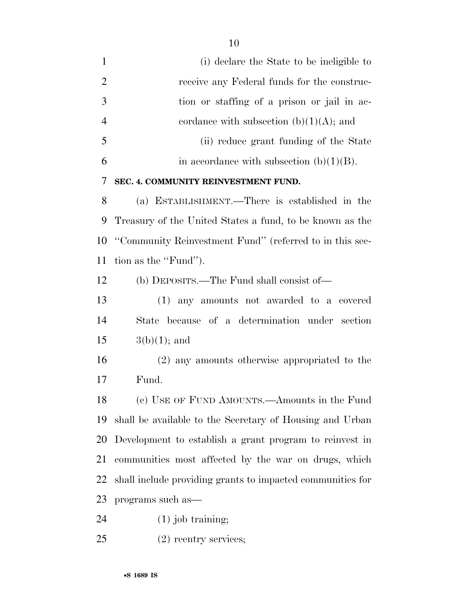(i) declare the State to be ineligible to 2 receive any Federal funds for the construc- tion or staffing of a prison or jail in ac-4 cordance with subsection  $(b)(1)(A)$ ; and (ii) reduce grant funding of the State 6 in accordance with subsection  $(b)(1)(B)$ . **SEC. 4. COMMUNITY REINVESTMENT FUND.**  (a) ESTABLISHMENT.—There is established in the Treasury of the United States a fund, to be known as the ''Community Reinvestment Fund'' (referred to in this sec- tion as the ''Fund''). (b) DEPOSITS.—The Fund shall consist of— (1) any amounts not awarded to a covered State because of a determination under section  $15 \t3(b)(1);$  and (2) any amounts otherwise appropriated to the Fund. (c) USE OF FUND AMOUNTS.—Amounts in the Fund shall be available to the Secretary of Housing and Urban Development to establish a grant program to reinvest in communities most affected by the war on drugs, which shall include providing grants to impacted communities for programs such as—

(1) job training;

(2) reentry services;